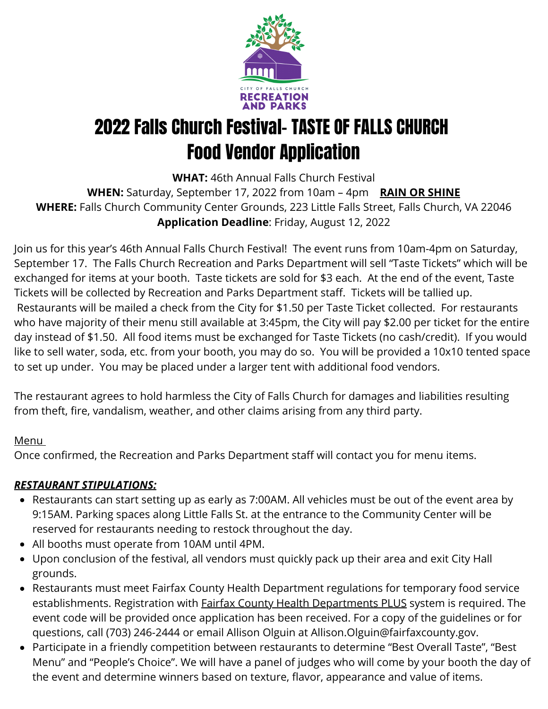

# 2022 Falls Church Festival- TASTE OF FALLS CHURCH Food Vendor Application

**WHAT:** 46th Annual Falls Church Festival **WHEN:** Saturday, September 17, 2022 from 10am – 4pm **RAIN OR SHINE WHERE:** Falls Church Community Center Grounds, 223 Little Falls Street, Falls Church, VA 22046 **Application Deadline**: Friday, August 12, 2022

Join us for this year's 46th Annual Falls Church Festival! The event runs from 10am-4pm on Saturday, September 17. The Falls Church Recreation and Parks Department will sell "Taste Tickets" which will be exchanged for items at your booth. Taste tickets are sold for \$3 each. At the end of the event, Taste Tickets will be collected by Recreation and Parks Department staff. Tickets will be tallied up. Restaurants will be mailed a check from the City for \$1.50 per Taste Ticket collected. For restaurants who have majority of their menu still available at 3:45pm, the City will pay \$2.00 per ticket for the entire day instead of \$1.50. All food items must be exchanged for Taste Tickets (no cash/credit). If you would like to sell water, soda, etc. from your booth, you may do so. You will be provided a 10x10 tented space to set up under. You may be placed under a larger tent with additional food vendors.

The restaurant agrees to hold harmless the City of Falls Church for damages and liabilities resulting from theft, fire, vandalism, weather, and other claims arising from any third party.

#### **Menu**

Once confirmed, the Recreation and Parks Department staff will contact you for menu items.

### *RESTAURANT STIPULATIONS:*

- Restaurants can start setting up as early as 7:00AM. All vehicles must be out of the event area by 9:15AM. Parking spaces along Little Falls St. at the entrance to the Community Center will be reserved for restaurants needing to restock throughout the day.
- All booths must operate from 10AM until 4PM.
- Upon conclusion of the festival, all vendors must quickly pack up their area and exit City Hall grounds.
- Restaurants must meet Fairfax County Health Department regulations for temporary food service establishments. Registration with **Fairfax County Health Departments PLUS** system is required. The event code will be provided once application has been received. For a copy of the guidelines or for questions, call (703) 246-2444 or email Allison Olguin at Allison.Olguin@fairfaxcounty.gov.
- Participate in a friendly competition between restaurants to determine "Best Overall Taste", "Best Menu" and "People's Choice". We will have a panel of judges who will come by your booth the day of the event and determine winners based on texture, flavor, appearance and value of items.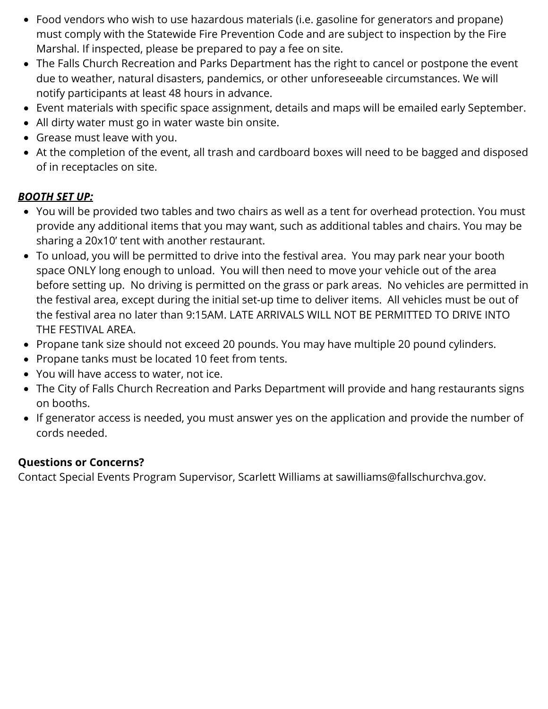- Food vendors who wish to use hazardous materials (i.e. gasoline for generators and propane) must comply with the Statewide Fire Prevention Code and are subject to inspection by the Fire Marshal. If inspected, please be prepared to pay a fee on site.
- The Falls Church Recreation and Parks Department has the right to cancel or postpone the event due to weather, natural disasters, pandemics, or other unforeseeable circumstances. We will notify participants at least 48 hours in advance.
- Event materials with specific space assignment, details and maps will be emailed early September.
- All dirty water must go in water waste bin onsite.
- Grease must leave with you.
- At the completion of the event, all trash and cardboard boxes will need to be bagged and disposed of in receptacles on site.

#### *BOOTH SET UP:*

- You will be provided two tables and two chairs as well as a tent for overhead protection. You must provide any additional items that you may want, such as additional tables and chairs. You may be sharing a 20x10' tent with another restaurant.
- To unload, you will be permitted to drive into the festival area. You may park near your booth space ONLY long enough to unload. You will then need to move your vehicle out of the area before setting up. No driving is permitted on the grass or park areas. No vehicles are permitted in the festival area, except during the initial set-up time to deliver items. All vehicles must be out of the festival area no later than 9:15AM. LATE ARRIVALS WILL NOT BE PERMITTED TO DRIVE INTO THE FESTIVAL AREA.
- Propane tank size should not exceed 20 pounds. You may have multiple 20 pound cylinders.
- Propane tanks must be located 10 feet from tents.
- You will have access to water, not ice.
- The City of Falls Church Recreation and Parks Department will provide and hang restaurants signs on booths.
- If generator access is needed, you must answer yes on the application and provide the number of cords needed.

#### **Questions or Concerns?**

Contact Special Events Program Supervisor, Scarlett Williams at sawilliams@fallschurchva.gov.